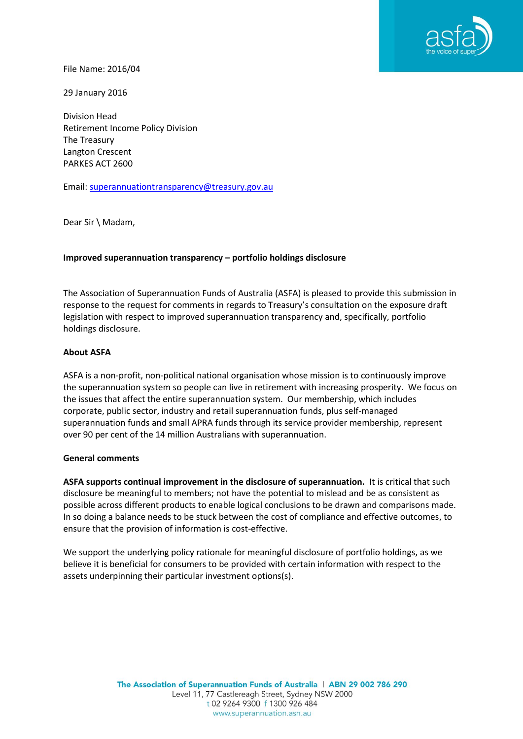

File Name: 2016/04

29 January 2016

Division Head Retirement Income Policy Division The Treasury Langton Crescent PARKES ACT 2600

Email: [superannuationtransparency@treasury.gov.au](mailto:superannuationtransparency@treasury.gov.au)

Dear Sir \ Madam,

### **Improved superannuation transparency – portfolio holdings disclosure**

The Association of Superannuation Funds of Australia (ASFA) is pleased to provide this submission in response to the request for comments in regards to Treasury's consultation on the exposure draft legislation with respect to improved superannuation transparency and, specifically, portfolio holdings disclosure.

#### **About ASFA**

ASFA is a non-profit, non-political national organisation whose mission is to continuously improve the superannuation system so people can live in retirement with increasing prosperity. We focus on the issues that affect the entire superannuation system. Our membership, which includes corporate, public sector, industry and retail superannuation funds, plus self-managed superannuation funds and small APRA funds through its service provider membership, represent over 90 per cent of the 14 million Australians with superannuation.

#### **General comments**

**ASFA supports continual improvement in the disclosure of superannuation.** It is critical that such disclosure be meaningful to members; not have the potential to mislead and be as consistent as possible across different products to enable logical conclusions to be drawn and comparisons made. In so doing a balance needs to be stuck between the cost of compliance and effective outcomes, to ensure that the provision of information is cost-effective.

We support the underlying policy rationale for meaningful disclosure of portfolio holdings, as we believe it is beneficial for consumers to be provided with certain information with respect to the assets underpinning their particular investment options(s).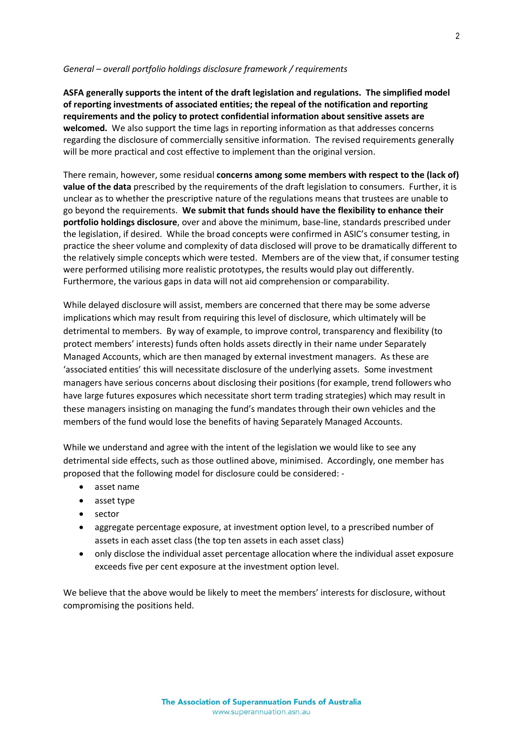#### *General – overall portfolio holdings disclosure framework / requirements*

**ASFA generally supports the intent of the draft legislation and regulations. The simplified model of reporting investments of associated entities; the repeal of the notification and reporting requirements and the policy to protect confidential information about sensitive assets are welcomed.** We also support the time lags in reporting information as that addresses concerns regarding the disclosure of commercially sensitive information. The revised requirements generally will be more practical and cost effective to implement than the original version.

There remain, however, some residual **concerns among some members with respect to the (lack of) value of the data** prescribed by the requirements of the draft legislation to consumers. Further, it is unclear as to whether the prescriptive nature of the regulations means that trustees are unable to go beyond the requirements. **We submit that funds should have the flexibility to enhance their portfolio holdings disclosure**, over and above the minimum, base-line, standards prescribed under the legislation, if desired. While the broad concepts were confirmed in ASIC's consumer testing, in practice the sheer volume and complexity of data disclosed will prove to be dramatically different to the relatively simple concepts which were tested. Members are of the view that, if consumer testing were performed utilising more realistic prototypes, the results would play out differently. Furthermore, the various gaps in data will not aid comprehension or comparability.

While delayed disclosure will assist, members are concerned that there may be some adverse implications which may result from requiring this level of disclosure, which ultimately will be detrimental to members. By way of example, to improve control, transparency and flexibility (to protect members' interests) funds often holds assets directly in their name under Separately Managed Accounts, which are then managed by external investment managers. As these are 'associated entities' this will necessitate disclosure of the underlying assets. Some investment managers have serious concerns about disclosing their positions (for example, trend followers who have large futures exposures which necessitate short term trading strategies) which may result in these managers insisting on managing the fund's mandates through their own vehicles and the members of the fund would lose the benefits of having Separately Managed Accounts.

While we understand and agree with the intent of the legislation we would like to see any detrimental side effects, such as those outlined above, minimised. Accordingly, one member has proposed that the following model for disclosure could be considered: -

- asset name
- asset type
- sector
- aggregate percentage exposure, at investment option level, to a prescribed number of assets in each asset class (the top ten assets in each asset class)
- only disclose the individual asset percentage allocation where the individual asset exposure exceeds five per cent exposure at the investment option level.

We believe that the above would be likely to meet the members' interests for disclosure, without compromising the positions held.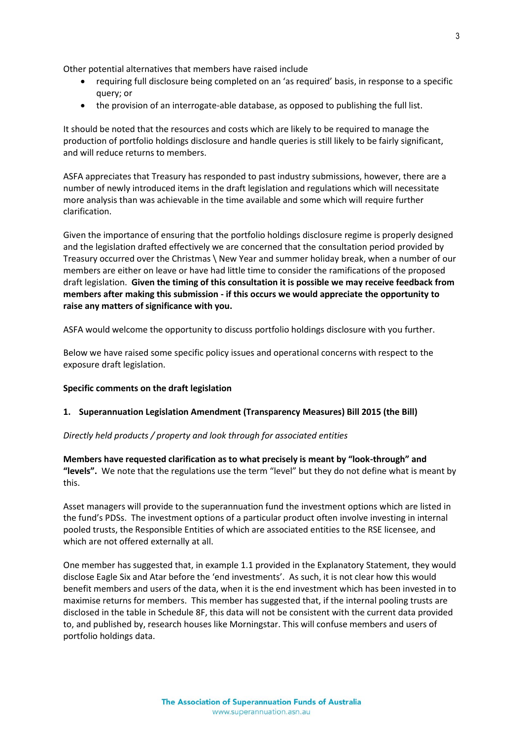Other potential alternatives that members have raised include

- requiring full disclosure being completed on an 'as required' basis, in response to a specific query; or
- the provision of an interrogate-able database, as opposed to publishing the full list.

It should be noted that the resources and costs which are likely to be required to manage the production of portfolio holdings disclosure and handle queries is still likely to be fairly significant, and will reduce returns to members.

ASFA appreciates that Treasury has responded to past industry submissions, however, there are a number of newly introduced items in the draft legislation and regulations which will necessitate more analysis than was achievable in the time available and some which will require further clarification.

Given the importance of ensuring that the portfolio holdings disclosure regime is properly designed and the legislation drafted effectively we are concerned that the consultation period provided by Treasury occurred over the Christmas \ New Year and summer holiday break, when a number of our members are either on leave or have had little time to consider the ramifications of the proposed draft legislation. **Given the timing of this consultation it is possible we may receive feedback from members after making this submission - if this occurs we would appreciate the opportunity to raise any matters of significance with you.**

ASFA would welcome the opportunity to discuss portfolio holdings disclosure with you further.

Below we have raised some specific policy issues and operational concerns with respect to the exposure draft legislation.

#### **Specific comments on the draft legislation**

#### **1. Superannuation Legislation Amendment (Transparency Measures) Bill 2015 (the Bill)**

*Directly held products / property and look through for associated entities*

**Members have requested clarification as to what precisely is meant by "look-through" and "levels".** We note that the regulations use the term "level" but they do not define what is meant by this.

Asset managers will provide to the superannuation fund the investment options which are listed in the fund's PDSs. The investment options of a particular product often involve investing in internal pooled trusts, the Responsible Entities of which are associated entities to the RSE licensee, and which are not offered externally at all.

One member has suggested that, in example 1.1 provided in the Explanatory Statement, they would disclose Eagle Six and Atar before the 'end investments'. As such, it is not clear how this would benefit members and users of the data, when it is the end investment which has been invested in to maximise returns for members. This member has suggested that, if the internal pooling trusts are disclosed in the table in Schedule 8F, this data will not be consistent with the current data provided to, and published by, research houses like Morningstar. This will confuse members and users of portfolio holdings data.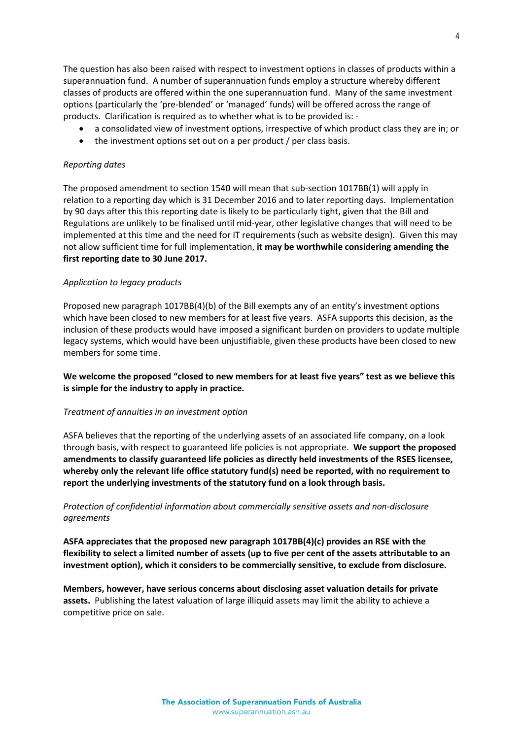The question has also been raised with respect to investment options in classes of products within a superannuation fund. A number of superannuation funds employ a structure whereby different classes of products are offered within the one superannuation fund. Many of the same investment options (particularly the 'pre-blended' or 'managed' funds) will be offered across the range of products. Clarification is required as to whether what is to be provided is: -

- a consolidated view of investment options, irrespective of which product class they are in; or
- the investment options set out on a per product / per class basis.

#### *Reporting dates*

The proposed amendment to section 1540 will mean that sub-section 1017BB(1) will apply in relation to a reporting day which is 31 December 2016 and to later reporting days. Implementation by 90 days after this this reporting date is likely to be particularly tight, given that the Bill and Regulations are unlikely to be finalised until mid-year, other legislative changes that will need to be implemented at this time and the need for IT requirements (such as website design). Given this may not allow sufficient time for full implementation, **it may be worthwhile considering amending the first reporting date to 30 June 2017.**

#### *Application to legacy products*

Proposed new paragraph 1017BB(4)(b) of the Bill exempts any of an entity's investment options which have been closed to new members for at least five years. ASFA supports this decision, as the inclusion of these products would have imposed a significant burden on providers to update multiple legacy systems, which would have been unjustifiable, given these products have been closed to new members for some time.

**We welcome the proposed "closed to new members for at least five years" test as we believe this is simple for the industry to apply in practice.**

#### *Treatment of annuities in an investment option*

ASFA believes that the reporting of the underlying assets of an associated life company, on a look through basis, with respect to guaranteed life policies is not appropriate. **We support the proposed amendments to classify guaranteed life policies as directly held investments of the RSES licensee, whereby only the relevant life office statutory fund(s) need be reported, with no requirement to report the underlying investments of the statutory fund on a look through basis.**

### *Protection of confidential information about commercially sensitive assets and non-disclosure agreements*

**ASFA appreciates that the proposed new paragraph 1017BB(4)(c) provides an RSE with the flexibility to select a limited number of assets (up to five per cent of the assets attributable to an investment option), which it considers to be commercially sensitive, to exclude from disclosure.**

**Members, however, have serious concerns about disclosing asset valuation details for private assets.** Publishing the latest valuation of large illiquid assets may limit the ability to achieve a competitive price on sale.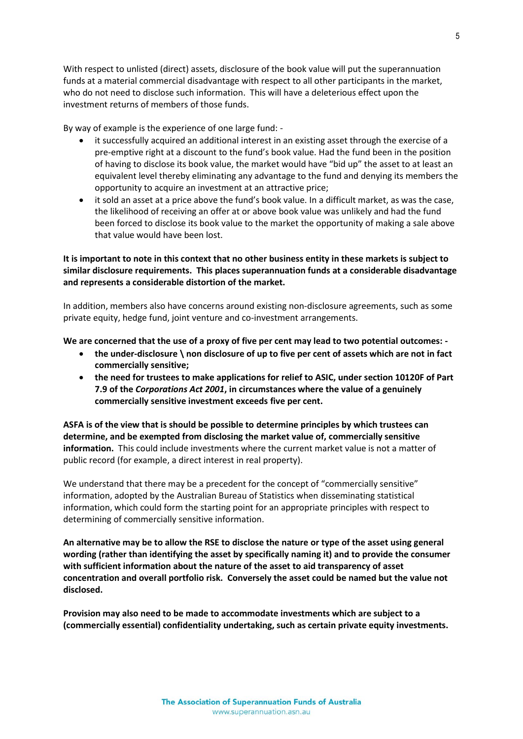With respect to unlisted (direct) assets, disclosure of the book value will put the superannuation funds at a material commercial disadvantage with respect to all other participants in the market, who do not need to disclose such information. This will have a deleterious effect upon the investment returns of members of those funds.

By way of example is the experience of one large fund: -

- it successfully acquired an additional interest in an existing asset through the exercise of a pre-emptive right at a discount to the fund's book value. Had the fund been in the position of having to disclose its book value, the market would have "bid up" the asset to at least an equivalent level thereby eliminating any advantage to the fund and denying its members the opportunity to acquire an investment at an attractive price;
- it sold an asset at a price above the fund's book value. In a difficult market, as was the case, the likelihood of receiving an offer at or above book value was unlikely and had the fund been forced to disclose its book value to the market the opportunity of making a sale above that value would have been lost.

**It is important to note in this context that no other business entity in these markets is subject to similar disclosure requirements. This places superannuation funds at a considerable disadvantage and represents a considerable distortion of the market.**

In addition, members also have concerns around existing non-disclosure agreements, such as some private equity, hedge fund, joint venture and co-investment arrangements.

**We are concerned that the use of a proxy of five per cent may lead to two potential outcomes: -**

- **the under-disclosure \ non disclosure of up to five per cent of assets which are not in fact commercially sensitive;**
- **the need for trustees to make applications for relief to ASIC, under section 10120F of Part 7.9 of the** *Corporations Act 2001***, in circumstances where the value of a genuinely commercially sensitive investment exceeds five per cent.**

**ASFA is of the view that is should be possible to determine principles by which trustees can determine, and be exempted from disclosing the market value of, commercially sensitive information.** This could include investments where the current market value is not a matter of public record (for example, a direct interest in real property).

We understand that there may be a precedent for the concept of "commercially sensitive" information, adopted by the Australian Bureau of Statistics when disseminating statistical information, which could form the starting point for an appropriate principles with respect to determining of commercially sensitive information.

**An alternative may be to allow the RSE to disclose the nature or type of the asset using general wording (rather than identifying the asset by specifically naming it) and to provide the consumer with sufficient information about the nature of the asset to aid transparency of asset concentration and overall portfolio risk. Conversely the asset could be named but the value not disclosed.**

**Provision may also need to be made to accommodate investments which are subject to a (commercially essential) confidentiality undertaking, such as certain private equity investments.**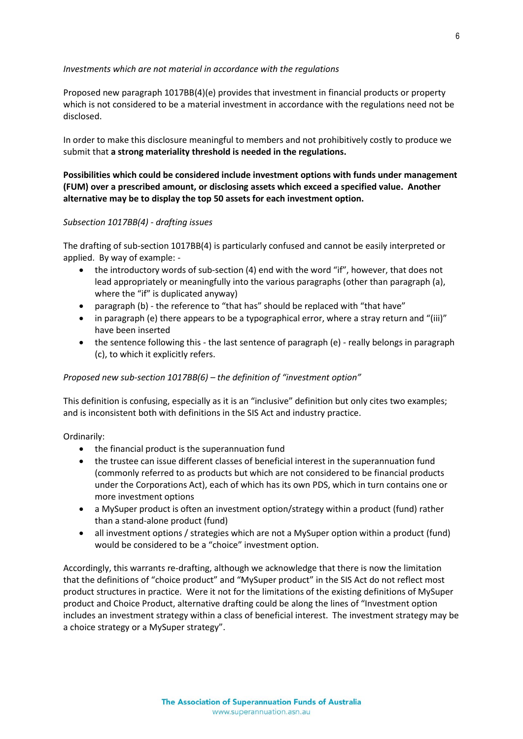### *Investments which are not material in accordance with the regulations*

Proposed new paragraph 1017BB(4)(e) provides that investment in financial products or property which is not considered to be a material investment in accordance with the regulations need not be disclosed.

In order to make this disclosure meaningful to members and not prohibitively costly to produce we submit that **a strong materiality threshold is needed in the regulations.**

# **Possibilities which could be considered include investment options with funds under management (FUM) over a prescribed amount, or disclosing assets which exceed a specified value. Another alternative may be to display the top 50 assets for each investment option.**

#### *Subsection 1017BB(4) - drafting issues*

The drafting of sub-section 1017BB(4) is particularly confused and cannot be easily interpreted or applied. By way of example: -

- the introductory words of sub-section (4) end with the word "if", however, that does not lead appropriately or meaningfully into the various paragraphs (other than paragraph (a), where the "if" is duplicated anyway)
- paragraph (b) the reference to "that has" should be replaced with "that have"
- in paragraph (e) there appears to be a typographical error, where a stray return and "(iii)" have been inserted
- the sentence following this the last sentence of paragraph (e) really belongs in paragraph (c), to which it explicitly refers.

### *Proposed new sub-section 1017BB(6) – the definition of "investment option"*

This definition is confusing, especially as it is an "inclusive" definition but only cites two examples; and is inconsistent both with definitions in the SIS Act and industry practice.

Ordinarily:

- the financial product is the superannuation fund
- the trustee can issue different classes of beneficial interest in the superannuation fund (commonly referred to as products but which are not considered to be financial products under the Corporations Act), each of which has its own PDS, which in turn contains one or more investment options
- a MySuper product is often an investment option/strategy within a product (fund) rather than a stand-alone product (fund)
- all investment options / strategies which are not a MySuper option within a product (fund) would be considered to be a "choice" investment option.

Accordingly, this warrants re-drafting, although we acknowledge that there is now the limitation that the definitions of "choice product" and "MySuper product" in the SIS Act do not reflect most product structures in practice. Were it not for the limitations of the existing definitions of MySuper product and Choice Product, alternative drafting could be along the lines of "Investment option includes an investment strategy within a class of beneficial interest. The investment strategy may be a choice strategy or a MySuper strategy".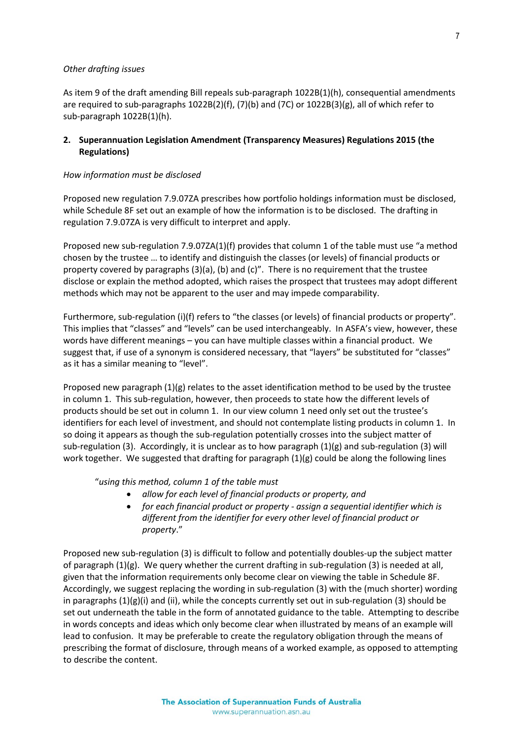### *Other drafting issues*

As item 9 of the draft amending Bill repeals sub-paragraph 1022B(1)(h), consequential amendments are required to sub-paragraphs 1022B(2)(f), (7)(b) and (7C) or 1022B(3)(g), all of which refer to sub-paragraph 1022B(1)(h).

# **2. Superannuation Legislation Amendment (Transparency Measures) Regulations 2015 (the Regulations)**

## *How information must be disclosed*

Proposed new regulation 7.9.07ZA prescribes how portfolio holdings information must be disclosed, while Schedule 8F set out an example of how the information is to be disclosed. The drafting in regulation 7.9.07ZA is very difficult to interpret and apply.

Proposed new sub-regulation 7.9.07ZA(1)(f) provides that column 1 of the table must use "a method chosen by the trustee … to identify and distinguish the classes (or levels) of financial products or property covered by paragraphs  $(3)(a)$ ,  $(b)$  and  $(c)$ ". There is no requirement that the trustee disclose or explain the method adopted, which raises the prospect that trustees may adopt different methods which may not be apparent to the user and may impede comparability.

Furthermore, sub-regulation (i)(f) refers to "the classes (or levels) of financial products or property". This implies that "classes" and "levels" can be used interchangeably. In ASFA's view, however, these words have different meanings – you can have multiple classes within a financial product. We suggest that, if use of a synonym is considered necessary, that "layers" be substituted for "classes" as it has a similar meaning to "level".

Proposed new paragraph (1)(g) relates to the asset identification method to be used by the trustee in column 1. This sub-regulation, however, then proceeds to state how the different levels of products should be set out in column 1. In our view column 1 need only set out the trustee's identifiers for each level of investment, and should not contemplate listing products in column 1. In so doing it appears as though the sub-regulation potentially crosses into the subject matter of sub-regulation (3). Accordingly, it is unclear as to how paragraph  $(1)(g)$  and sub-regulation (3) will work together. We suggested that drafting for paragraph  $(1)(g)$  could be along the following lines

"*using this method, column 1 of the table must*

- *allow for each level of financial products or property, and*
- *for each financial product or property - assign a sequential identifier which is different from the identifier for every other level of financial product or property*."

Proposed new sub-regulation (3) is difficult to follow and potentially doubles-up the subject matter of paragraph  $(1)(g)$ . We query whether the current drafting in sub-regulation  $(3)$  is needed at all, given that the information requirements only become clear on viewing the table in Schedule 8F. Accordingly, we suggest replacing the wording in sub-regulation (3) with the (much shorter) wording in paragraphs (1)(g)(i) and (ii), while the concepts currently set out in sub-regulation (3) should be set out underneath the table in the form of annotated guidance to the table. Attempting to describe in words concepts and ideas which only become clear when illustrated by means of an example will lead to confusion. It may be preferable to create the regulatory obligation through the means of prescribing the format of disclosure, through means of a worked example, as opposed to attempting to describe the content.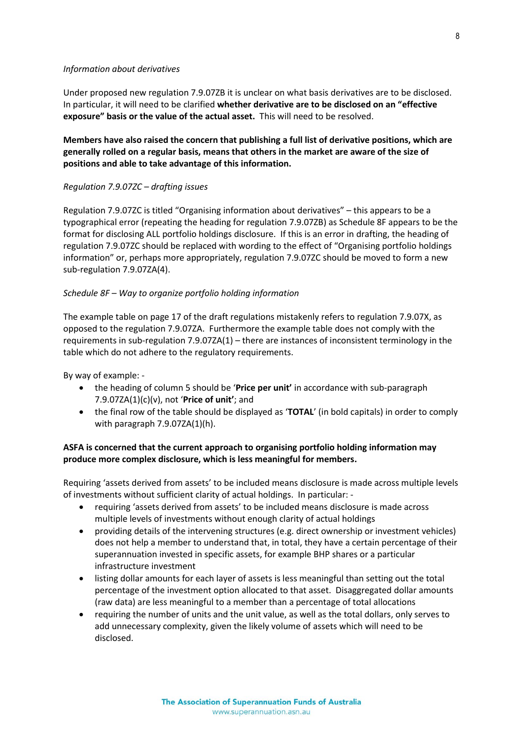#### *Information about derivatives*

Under proposed new regulation 7.9.07ZB it is unclear on what basis derivatives are to be disclosed. In particular, it will need to be clarified **whether derivative are to be disclosed on an "effective exposure" basis or the value of the actual asset.** This will need to be resolved.

# **Members have also raised the concern that publishing a full list of derivative positions, which are generally rolled on a regular basis, means that others in the market are aware of the size of positions and able to take advantage of this information.**

## *Regulation 7.9.07ZC – drafting issues*

Regulation 7.9.07ZC is titled "Organising information about derivatives" – this appears to be a typographical error (repeating the heading for regulation 7.9.07ZB) as Schedule 8F appears to be the format for disclosing ALL portfolio holdings disclosure. If this is an error in drafting, the heading of regulation 7.9.07ZC should be replaced with wording to the effect of "Organising portfolio holdings information" or, perhaps more appropriately, regulation 7.9.07ZC should be moved to form a new sub-regulation 7.9.07ZA(4).

# *Schedule 8F – Way to organize portfolio holding information*

The example table on page 17 of the draft regulations mistakenly refers to regulation 7.9.07X, as opposed to the regulation 7.9.07ZA. Furthermore the example table does not comply with the requirements in sub-regulation 7.9.07ZA(1) – there are instances of inconsistent terminology in the table which do not adhere to the regulatory requirements.

By way of example: -

- the heading of column 5 should be '**Price per unit'** in accordance with sub-paragraph 7.9.07ZA(1)(c)(v), not '**Price of unit'**; and
- the final row of the table should be displayed as '**TOTAL**' (in bold capitals) in order to comply with paragraph 7.9.07ZA(1)(h).

# **ASFA is concerned that the current approach to organising portfolio holding information may produce more complex disclosure, which is less meaningful for members.**

Requiring 'assets derived from assets' to be included means disclosure is made across multiple levels of investments without sufficient clarity of actual holdings. In particular: -

- requiring 'assets derived from assets' to be included means disclosure is made across multiple levels of investments without enough clarity of actual holdings
- providing details of the intervening structures (e.g. direct ownership or investment vehicles) does not help a member to understand that, in total, they have a certain percentage of their superannuation invested in specific assets, for example BHP shares or a particular infrastructure investment
- listing dollar amounts for each layer of assets is less meaningful than setting out the total percentage of the investment option allocated to that asset. Disaggregated dollar amounts (raw data) are less meaningful to a member than a percentage of total allocations
- requiring the number of units and the unit value, as well as the total dollars, only serves to add unnecessary complexity, given the likely volume of assets which will need to be disclosed.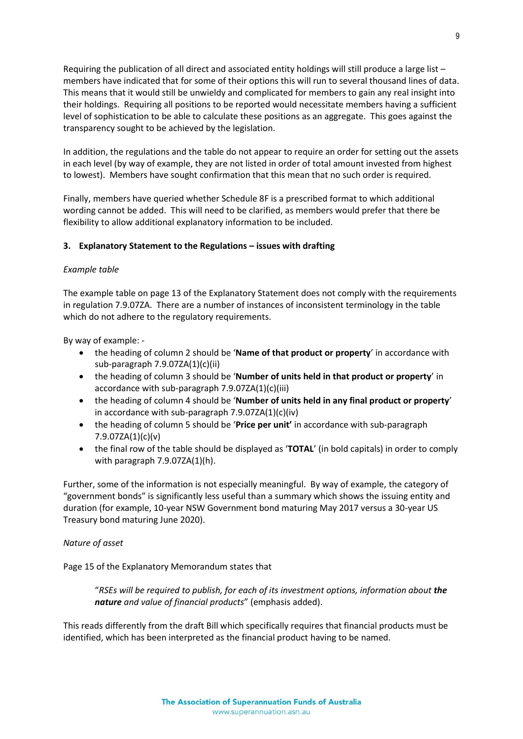Requiring the publication of all direct and associated entity holdings will still produce a large list – members have indicated that for some of their options this will run to several thousand lines of data. This means that it would still be unwieldy and complicated for members to gain any real insight into their holdings. Requiring all positions to be reported would necessitate members having a sufficient level of sophistication to be able to calculate these positions as an aggregate. This goes against the transparency sought to be achieved by the legislation.

In addition, the regulations and the table do not appear to require an order for setting out the assets in each level (by way of example, they are not listed in order of total amount invested from highest to lowest). Members have sought confirmation that this mean that no such order is required.

Finally, members have queried whether Schedule 8F is a prescribed format to which additional wording cannot be added. This will need to be clarified, as members would prefer that there be flexibility to allow additional explanatory information to be included.

# **3. Explanatory Statement to the Regulations – issues with drafting**

### *Example table*

The example table on page 13 of the Explanatory Statement does not comply with the requirements in regulation 7.9.07ZA. There are a number of instances of inconsistent terminology in the table which do not adhere to the regulatory requirements.

By way of example: -

- the heading of column 2 should be '**Name of that product or property**' in accordance with sub-paragraph 7.9.07ZA(1)(c)(ii)
- the heading of column 3 should be '**Number of units held in that product or property**' in accordance with sub-paragraph 7.9.07ZA(1)(c)(iii)
- the heading of column 4 should be '**Number of units held in any final product or property**' in accordance with sub-paragraph 7.9.07ZA(1)(c)(iv)
- the heading of column 5 should be '**Price per unit'** in accordance with sub-paragraph 7.9.07ZA(1)(c)(v)
- the final row of the table should be displayed as '**TOTAL**' (in bold capitals) in order to comply with paragraph 7.9.07ZA(1)(h).

Further, some of the information is not especially meaningful. By way of example, the category of "government bonds" is significantly less useful than a summary which shows the issuing entity and duration (for example, 10-year NSW Government bond maturing May 2017 versus a 30-year US Treasury bond maturing June 2020).

### *Nature of asset*

Page 15 of the Explanatory Memorandum states that

"*RSEs will be required to publish, for each of its investment options, information about the nature and value of financial products*" (emphasis added).

This reads differently from the draft Bill which specifically requires that financial products must be identified, which has been interpreted as the financial product having to be named.